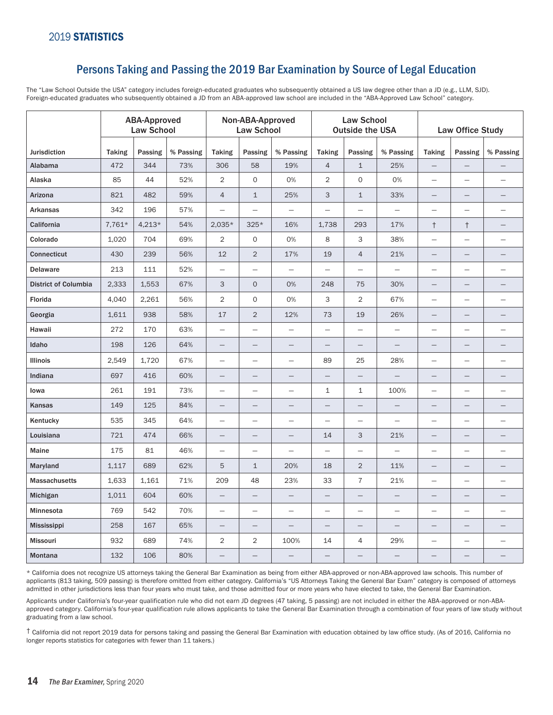## Persons Taking and Passing the 2019 Bar Examination by Source of Legal Education

The "Law School Outside the USA" category includes foreign-educated graduates who subsequently obtained a US law degree other than a JD (e.g., LLM, SJD). Foreign-educated graduates who subsequently obtained a JD from an ABA-approved law school are included in the "ABA-Approved Law School" category.

|                             | <b>ABA-Approved</b><br><b>Law School</b> |          |           | Non-ABA-Approved<br><b>Law School</b> |                          |                          | <b>Law School</b><br><b>Outside the USA</b> |                          |                          | Law Office Study         |                          |                          |
|-----------------------------|------------------------------------------|----------|-----------|---------------------------------------|--------------------------|--------------------------|---------------------------------------------|--------------------------|--------------------------|--------------------------|--------------------------|--------------------------|
| Jurisdiction                | <b>Taking</b>                            | Passing  | % Passing | <b>Taking</b>                         | Passing                  | % Passing                | <b>Taking</b>                               | Passing                  | % Passing                | <b>Taking</b>            | Passing                  | % Passing                |
| Alabama                     | 472                                      | 344      | 73%       | 306                                   | 58                       | 19%                      | $\overline{4}$                              | $\mathbf{1}$             | 25%                      | -                        |                          |                          |
| Alaska                      | 85                                       | 44       | 52%       | $\overline{2}$                        | 0                        | 0%                       | $\overline{2}$                              | $\mathsf{O}\xspace$      | 0%                       | $\overline{\phantom{0}}$ | $\equiv$                 | $\overline{\phantom{0}}$ |
| Arizona                     | 821                                      | 482      | 59%       | $\overline{4}$                        | $\mathbf{1}$             | 25%                      | $\ensuremath{\mathsf{3}}$                   | $\mathbf{1}$             | 33%                      | $\qquad \qquad -$        |                          |                          |
| <b>Arkansas</b>             | 342                                      | 196      | 57%       | $\overline{\phantom{0}}$              |                          | $\overline{\phantom{m}}$ |                                             |                          | $\qquad \qquad -$        | $\qquad \qquad -$        |                          | $\overline{\phantom{0}}$ |
| California                  | 7,761*                                   | $4,213*$ | 54%       | $2,035*$                              | $325*$                   | 16%                      | 1,738                                       | 293                      | 17%                      | $^\dagger$               | $^\dagger$               |                          |
| Colorado                    | 1,020                                    | 704      | 69%       | $\overline{2}$                        | O                        | 0%                       | 8                                           | 3                        | 38%                      | $\equiv$                 |                          |                          |
| <b>Connecticut</b>          | 430                                      | 239      | 56%       | 12                                    | 2                        | 17%                      | 19                                          | $\sqrt{4}$               | 21%                      | $\overline{\phantom{0}}$ |                          |                          |
| <b>Delaware</b>             | 213                                      | 111      | 52%       | $\overline{\phantom{0}}$              | $\qquad \qquad -$        | $\equiv$                 | $\overline{\phantom{0}}$                    |                          | $\equiv$                 | $\overline{\phantom{m}}$ |                          |                          |
| <b>District of Columbia</b> | 2,333                                    | 1,553    | 67%       | 3                                     | $\circ$                  | 0%                       | 248                                         | 75                       | 30%                      | $\qquad \qquad -$        |                          | $\overline{\phantom{0}}$ |
| Florida                     | 4,040                                    | 2,261    | 56%       | $\overline{2}$                        | 0                        | 0%                       | 3                                           | $\overline{2}$           | 67%                      | $\overline{\phantom{m}}$ | $\overline{\phantom{m}}$ |                          |
| Georgia                     | 1,611                                    | 938      | 58%       | 17                                    | $\overline{2}$           | 12%                      | 73                                          | 19                       | 26%                      | $\overline{\phantom{0}}$ |                          |                          |
| Hawaii                      | 272                                      | 170      | 63%       | $\equiv$                              |                          | $\frac{1}{2}$            | $\overline{\phantom{m}}$                    |                          |                          | $\overline{\phantom{m}}$ |                          |                          |
| Idaho                       | 198                                      | 126      | 64%       | $\qquad \qquad -$                     | —                        | $\overline{\phantom{0}}$ | $\overline{\phantom{0}}$                    |                          |                          | $\overline{\phantom{m}}$ | $\overline{\phantom{0}}$ |                          |
| Illinois                    | 2,549                                    | 1,720    | 67%       | $\equiv$                              |                          | $\overline{\phantom{m}}$ | 89                                          | 25                       | 28%                      | $\overline{\phantom{m}}$ |                          |                          |
| Indiana                     | 697                                      | 416      | 60%       | —                                     | $\overline{\phantom{0}}$ |                          |                                             |                          |                          | —                        |                          |                          |
| lowa                        | 261                                      | 191      | 73%       | $\overline{\phantom{0}}$              | $\qquad \qquad -$        | $\overline{\phantom{0}}$ | $\mathbf{1}$                                | $\mathbf 1$              | 100%                     | $\overline{\phantom{0}}$ |                          | $\overline{\phantom{0}}$ |
| Kansas                      | 149                                      | 125      | 84%       | $\overline{\phantom{0}}$              |                          |                          |                                             |                          |                          | -                        |                          |                          |
| Kentucky                    | 535                                      | 345      | 64%       | $\overline{\phantom{0}}$              | $\overline{\phantom{0}}$ | $\overline{\phantom{m}}$ | $\overline{\phantom{0}}$                    | $\overline{\phantom{0}}$ | $\overline{\phantom{0}}$ | $\overline{\phantom{0}}$ | $\qquad \qquad -$        | $\overline{\phantom{0}}$ |
| Louisiana                   | 721                                      | 474      | 66%       | —                                     |                          |                          | 14                                          | 3                        | 21%                      |                          |                          |                          |
| Maine                       | 175                                      | 81       | 46%       | $\overline{\phantom{m}}$              | $\equiv$                 | $\qquad \qquad -$        | $\equiv$                                    | $\equiv$                 | $\overline{\phantom{0}}$ | $\overline{\phantom{m}}$ | $\equiv$                 | $\overline{\phantom{0}}$ |
| Maryland                    | 1,117                                    | 689      | 62%       | 5                                     | $\mathbf{1}$             | 20%                      | 18                                          | $\overline{2}$           | 11%                      | $\overline{\phantom{0}}$ |                          |                          |
| <b>Massachusetts</b>        | 1,633                                    | 1,161    | 71%       | 209                                   | 48                       | 23%                      | 33                                          | $\overline{7}$           | 21%                      | $\overline{\phantom{m}}$ | $\overline{\phantom{m}}$ |                          |
| Michigan                    | 1,011                                    | 604      | 60%       |                                       | $\overline{\phantom{0}}$ |                          |                                             | $\overline{\phantom{0}}$ |                          | $\overline{\phantom{m}}$ | $\overline{\phantom{0}}$ | $\overline{\phantom{0}}$ |
| Minnesota                   | 769                                      | 542      | 70%       | $\overline{\phantom{0}}$              | $\qquad \qquad -$        |                          | $\qquad \qquad -$                           |                          |                          | $\overline{\phantom{m}}$ |                          |                          |
| <b>Mississippi</b>          | 258                                      | 167      | 65%       |                                       |                          | $\equiv$                 |                                             |                          |                          | $\overline{\phantom{m}}$ | $\qquad \qquad -$        |                          |
| <b>Missouri</b>             | 932                                      | 689      | 74%       | $\overline{2}$                        | $\overline{c}$           | 100%                     | 14                                          | 4                        | 29%                      | $\overline{\phantom{m}}$ | $\qquad \qquad -$        |                          |
| Montana                     | 132                                      | 106      | 80%       |                                       |                          |                          |                                             |                          |                          |                          |                          | $\overline{\phantom{0}}$ |

\* California does not recognize US attorneys taking the General Bar Examination as being from either ABA-approved or non-ABA-approved law schools. This number of applicants (813 taking, 509 passing) is therefore omitted from either category. California's "US Attorneys Taking the General Bar Exam" category is composed of attorneys admitted in other jurisdictions less than four years who must take, and those admitted four or more years who have elected to take, the General Bar Examination.

Applicants under California's four-year qualification rule who did not earn JD degrees (47 taking, 5 passing) are not included in either the ABA-approved or non-ABAapproved category. California's four-year qualification rule allows applicants to take the General Bar Examination through a combination of four years of law study without graduating from a law school.

† California did not report 2019 data for persons taking and passing the General Bar Examination with education obtained by law office study. (As of 2016, California no longer reports statistics for categories with fewer than 11 takers.)